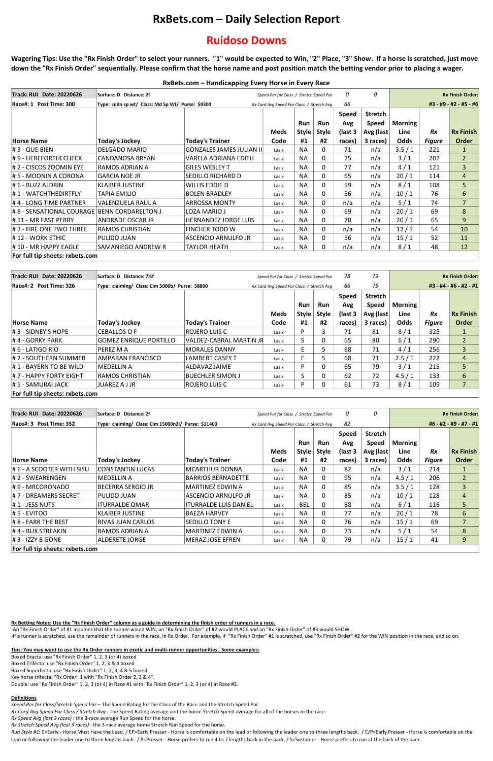# **RxBets.com – Daily Selection Report**

# **Ruidoso Downs**

**Wagering Tips: Use the "Rx Finish Order" to select your runners. "1" would be expected to Win, "2" Place, "3" Show. If a horse is scratched, just move down the "Rx Finish Order" sequentially. Please confirm that the horse name and post position match the betting vendor prior to placing a wager.**

-An "Rx Finish Order" of #1 assumes that the runner would WIN, an "Rx Finish Order" of #2 would PLACE and an "Rx Finish Order" of #3 would SHOW. -If a runner is scratched, use the remainder of runners in the race, in Rx Order. For example, if "Rx Finish Order" #1 is scratched, use "Rx Finish Order" #2 for the WIN position in the race, and so on.

## **RxBets.com – Handicapping Every Horse in Every Race**

### **Rx Betting Notes: Use the "Rx Finish Order" column as a guide in determining the finish order of runners in a race.**

**Tips: You may want to use the Rx Order runners in exotic and multi-runner opportunities. Some examples:**

Run Style #1: E=Early - Horse Must Have the Lead. / EP=Early Presser - Horse is comfortable on the lead or following the leader one to three lengths back. / E/P=Early Presser - Horse is comfortable on the lead or following the leader one to three lengths back. / P=Presser - Horse prefers to run 4 to 7 lengths back in the pack. / S=Sustainer - Horse prefers to run at the back of the pack.

Boxed Exacta: use "Rx Finish Order" 1, 2, 3 (or 4) boxed Boxed Trifecta: use "Rx Finish Order" 1, 2, 3 & 4 boxed Boxed Superfecta: use "Rx Finish Order" 1, 2, 3, 4 & 5 boxed Key horse trifecta: "Rx Order" 1 with "Rx Finish Order 2, 3 & 4". Double: use "Rx Finish Order" 1, 2, 3 (or 4) in Race #1 with "Rx Finish Order" 1, 2, 3 (or 4) in Race #2.

#### **Definitions**

*Speed Par for Class/Stretch Speed Par:*– The Speed Rating for the Class of the Race and the Stretch Speed Par.

*Rx Card Avg Speed Par Class / Stretch Avg* : The Speed Rating average and the home Stretch Speed average for all of the horses in the race.

*Rx Speed Avg (last 3 races)* : the 3-race average Run Speed for the horse.

*Rx Stretch Speed Avg (last 3 races)* : the 3-race average home Stretch Run Speed for the horse.

| <b>Track: RUI Date: 20220626</b> | Surface: D Distance: 2f                         |                                 |       | Speed Par for Class / Stretch Speed Par   |                     | 0                              | 0                                           |                        |               | <b>Rx Finish Order:</b> |  |
|----------------------------------|-------------------------------------------------|---------------------------------|-------|-------------------------------------------|---------------------|--------------------------------|---------------------------------------------|------------------------|---------------|-------------------------|--|
| Race#: 1 Post Time: 300          | Type: mdn sp wt/ Class: Md Sp Wt/ Purse: \$9300 |                                 |       | Rx Card Avg Speed Par Class / Stretch Avg |                     |                                |                                             | #3 - #9 - #2 - #5 - #6 |               |                         |  |
|                                  |                                                 |                                 | Meds  | <b>Run</b><br>Style                       | Run<br><b>Style</b> | <b>Speed</b><br>Avg<br>(last 3 | <b>Stretch</b><br><b>Speed</b><br>Avg (last | Morning<br>Line        | <b>Rx</b>     | <b>Rx Finish</b>        |  |
| <b>Horse Name</b>                | <b>Today's Jockey</b>                           | <b>Today's Trainer</b>          | Code  | #1                                        | #2                  | races)                         | 3 races)                                    | <b>Odds</b>            | <b>Figure</b> | <b>Order</b>            |  |
| #3 - QUE BIEN                    | <b>DELGADO MARIO</b>                            | <b>GONZALES JAMES JULIAN II</b> | Lasix | <b>NA</b>                                 | 0                   | 71                             | n/a                                         | 3.5/1                  | 221           |                         |  |
| #9 - HEREFORTHECHECK             | CANDANOSA BRYAN                                 | VARELA ADRIANA EDITH            | Lasix | <b>NA</b>                                 | 0                   | 75                             | n/a                                         | 3/1                    | 207           | 2 <sup>1</sup>          |  |
| # 2 - CISCOS ZOOMIN EYE          | RAMOS ADRIAN A                                  | <b>GILES WESLEY T</b>           | Lasix | <b>NA</b>                                 | 0                   | 77                             | n/a                                         | 4/1                    | 121           | 3                       |  |
| # 5 - MOONIN A CORONA            | IGARCIA NOE JR                                  | SEDILLO RICHARD D               | Lasix | <b>NA</b>                                 | 0                   | 65                             | n/a                                         | 20/1                   | 114           | $\overline{4}$          |  |
| # 6 - BUZZ ALDRIN                | <b>KLAIBER JUSTINE</b>                          | WILLIS EDDIE D                  | Lasix | <b>NA</b>                                 | 0                   | 59                             | n/a                                         | 8/1                    | 108           | 5                       |  |
| # 1 - WATCHTHEDIRTFLY            | TAPIA EMILIO                                    | <b>BOLEN BRADLEY</b>            | Lasix | <b>NA</b>                                 | 0                   | 56                             | n/a                                         | 10/1                   | 76            | 6                       |  |
| #4 - LONG TIME PARTNER           | <b>VALENZUELA RAUL A</b>                        | <b>ARROSSA MONTY</b>            | Lasix | <b>NA</b>                                 | 0                   | n/a                            | n/a                                         | $5/1$                  | 74            | $\overline{7}$          |  |
| # 8 - SENSATIONAL COURAGE        | <b>BENN CORDARELTON J</b>                       | <b>LOZA MARIO J</b>             | Lasix | <b>NA</b>                                 | $\mathbf 0$         | 69                             | n/a                                         | 20/1                   | 69            | 8                       |  |
| # 11 - MR FAST PERRY             | <b>ANDRADE OSCAR JR</b>                         | <b>HERNANDEZ JORGE LUIS</b>     | Lasix | <b>NA</b>                                 | 0                   | 70                             | n/a                                         | 20/1                   | 65            | 9                       |  |
| # 7 - FIRE ONE TWO THREE         | <b>RAMOS CHRISTIAN</b>                          | <b>FINCHER TODD W</b>           | Lasix | <b>NA</b>                                 | 0                   | n/a                            | n/a                                         | 12/1                   | 54            | 10 <sup>°</sup>         |  |
| # 12 - WORK ETHIC                | PULIDO JUAN                                     | <b>ASCENCIO ARNULFO JR</b>      | Lasix | <b>NA</b>                                 | 0                   | 56                             | n/a                                         | 15/1                   | 52            | 11                      |  |
| # 10 - MR HAPPY EAGLE            | SAMANIEGO ANDREW R                              | <b>TAYLOR HEATH</b>             | Lasix | <b>NA</b>                                 | 0                   | n/a                            | n/a                                         | 8/1                    | 48            | 12                      |  |
| For full tip sheets: rxbets.com  |                                                 |                                 |       |                                           |                     |                                |                                             |                        |               |                         |  |

| <b>Track: RUI Date: 20220626</b> | Surface: D Distance: 7½f                        |                         |                                           | Speed Par for Class / Stretch Speed Par |            | 78           | 79                     | <b>Rx Finish Order:</b> |               |                  |
|----------------------------------|-------------------------------------------------|-------------------------|-------------------------------------------|-----------------------------------------|------------|--------------|------------------------|-------------------------|---------------|------------------|
| Race#: 2 Post Time: 326          | Type: claiming/ Class: Clm 5000b/ Purse: \$8800 |                         | Rx Card Avg Speed Par Class / Stretch Avg |                                         |            | 75           | #3 - #4 - #6 - #2 - #1 |                         |               |                  |
|                                  |                                                 |                         |                                           |                                         |            | <b>Speed</b> | <b>Stretch</b>         |                         |               |                  |
|                                  |                                                 |                         |                                           | Run                                     | <b>Run</b> | Avg          | <b>Speed</b>           | <b>Morning</b>          |               |                  |
|                                  |                                                 |                         | <b>Meds</b>                               | Style                                   | Style      | (last 3      | Avg (last)             | Line                    | <b>Rx</b>     | <b>Rx Finish</b> |
| <b>Horse Name</b>                | Today's Jockey                                  | <b>Today's Trainer</b>  | Code                                      | #1                                      | #2         | races)       | 3 races)               | <b>Odds</b>             | <b>Figure</b> | Order            |
| $\sharp$ 3 - SIDNEY'S HOPE       | CEBALLOS O F                                    | ROJERO LUIS C           | Lasix                                     | P                                       | 3          | 71           | 81                     | 8/1                     | 325           |                  |
| #4 - GORKY PARK                  | <b>GOMEZ ENRIQUE PORTILLO</b>                   | VALDEZ-CABRAL MARTIN JR | Lasix                                     | $\mathcal{L}$                           | 0          | 65           | 80                     | $6/1$                   | 290           | $\overline{2}$   |
| $\#$ 6 - LATIGO RIO              | IPEREZ M A                                      | <b>MORALES DANNY</b>    | Lasix                                     |                                         | 5          | 68           | 71                     | 4/1                     | 256           | 3                |
| # 2 - SOUTHERN SUMMER            | AMPARAN FRANCISCO                               | <b>LAMBERT CASEY T</b>  | Lasix                                     | E.                                      | 5          | 68           | 71                     | 2.5/1                   | 222           | 4                |
| #1 - BAYERN TO BE WILD           | IMEDELLIN A                                     | ALDAVAZ JAIME           | Lasix                                     | P                                       | 0          | 65           | 79                     | 3/1                     | 215           | 5                |
| #7 - HAPPY FORTY EIGHT           | <b>RAMOS CHRISTIAN</b>                          | <b>BUECHLER SIMON J</b> | Lasix                                     | ৲                                       | $\Omega$   | 62           | 72                     | 4.5/1                   | 133           | 6                |
| # 5 - SAMURAI JACK               | JUAREZ A J JR                                   | ROJERO LUIS C           | Lasix                                     | P                                       | 0          | 61           | 73                     | 8/1                     | 109           | $\overline{7}$   |
| For full tip sheets: rxbets.com  |                                                 |                         |                                           |                                         |            |              |                        |                         |               |                  |

| Track: RUI Date: 20220626       | Surface: D Distance: 2f                             | Speed Par for Class / Stretch Speed Par   |             |            | 0            | 0            | <b>Rx Finish Order:</b> |                |               |                  |
|---------------------------------|-----------------------------------------------------|-------------------------------------------|-------------|------------|--------------|--------------|-------------------------|----------------|---------------|------------------|
| Race#: 3 Post Time: 352         | Type: claiming/ Class: Clm 15000n2l/ Purse: \$11400 | Rx Card Avg Speed Par Class / Stretch Avg |             |            | 82           |              | #6 - #2 - #9 - #7 - #1  |                |               |                  |
|                                 |                                                     |                                           |             |            |              | <b>Speed</b> | <b>Stretch</b>          |                |               |                  |
|                                 |                                                     |                                           |             | Run        | Run          | Avg          | <b>Speed</b>            | <b>Morning</b> |               |                  |
|                                 |                                                     |                                           | <b>Meds</b> | Style      | <b>Style</b> | (last 3      | Avg (last)              | Line           | Rx            | <b>Rx Finish</b> |
| <b>Horse Name</b>               | Today's Jockey                                      | <b>Today's Trainer</b>                    | Code        | #1         | #2           | races)       | 3 races)                | Odds           | <b>Figure</b> | Order            |
| # 6 - A SCOOTER WITH SISU       | CONSTANTIN LUCAS                                    | <b>MCARTHUR DONNA</b>                     | Lasix       | <b>NA</b>  | 0            | 82           | n/a                     | 3/1            | 214           |                  |
| # 2 - SWEARENGEN                | IMEDELLIN A                                         | <b>BARRIOS BERNADETTE</b>                 | Lasix       | <b>NA</b>  | 0            | 95           | n/a                     | 4.5/1          | 206           | $\overline{2}$   |
| #9 - MRCORONADO                 | BECERRA SERGIO JR                                   | MARTINEZ EDWIN A                          | Lasix       | <b>NA</b>  | $\mathbf{0}$ | 85           | n/a                     | 3.5/1          | 128           | 3                |
| # 7 - DREAMERS SECRET           | IPULIDO JUAN                                        | ASCENCIO ARNULFO JR                       | Lasix       | <b>NA</b>  | $\mathbf{0}$ | 85           | n/a                     | 10/1           | 128           | $\overline{4}$   |
| #1 - JESS NUTS                  | ITURRALDE OMAR                                      | <b>ITURRALDE LUIS DANIEL</b>              | Lasix       | <b>BEL</b> | 0            | 88           | n/a                     | $6/1$          | 116           | 5                |
| # 5 - EVITOO                    | IKLAIBER JUSTINE                                    | BAEZA HARVEY                              | Lasix       | <b>NA</b>  | 0            | 77           | n/a                     | 20/1           | 78            | 6                |
| # 8 - FARR THE BEST             | IRIVAS JUAN CARLOS                                  | SEDILLO TONY E                            | Lasix       | <b>NA</b>  | 0            | 76           | n/a                     | 15/1           | 69            | $\overline{7}$   |
| # 4 - BUX STREAKIN              | IRAMOS ADRIAN A                                     | MARTINEZ EDWIN A                          | Lasix       | <b>NA</b>  | 0            | 73           | n/a                     | 5/1            | 54            | 8                |
| # 3 - IZZY B GONE               | <b>ALDERETE JORGE</b>                               | <b>MERAZ JOSE EFREN</b>                   | Lasix       | <b>NA</b>  | 0            | 79           | n/a                     | 15/1           | 41            | 9                |
| For full tip sheets: rxbets.com |                                                     |                                           |             |            |              |              |                         |                |               |                  |